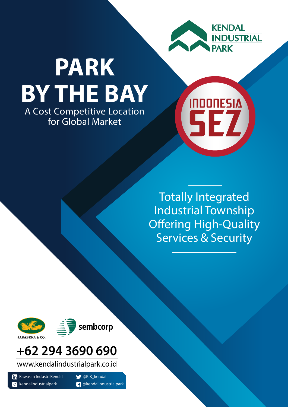

**INDONESIA** 

SEZ

# A Cost Competitive Location for Global Market **PARK BY THE BAY**

Totally Integrated Industrial Township **Offering High-Quality** Services & Security





# **+62 294 3690 690**

www.kendalindustrialpark.co.id

Kawasan Industri Kendal  $\left| \mathbf{in} \right|$  $\bullet$  kendalindustrialpark

**W** @KIK\_kendal *A* @kendalindustrialpark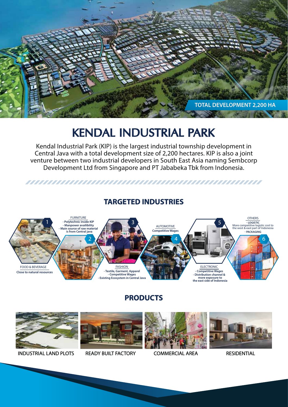

## **KENDAL INDUSTRIAL PARK**

Kendal Industrial Park (KIP) is the largest industrial township development in Central Java with a total development size of 2,200 hectares. KIP is also a joint venture between two industrial developers in South East Asia naming Sembcorp Development Ltd from Singapore and PT Jababeka Tbk from Indonesia.

### **TARGETED INDUSTRIES**



### **PRODUCTS**



INDUSTRIAL LAND PLOTS READY BUILT FACTORY COMMERCIAL AREA RESIDENTIAL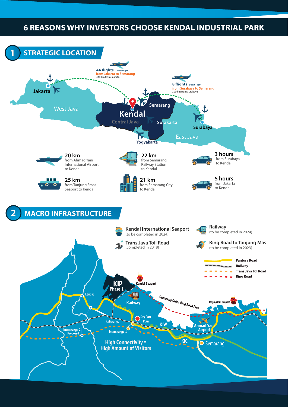## **6 REASONS WHY INVESTORS CHOOSE KENDAL INDUSTRIAL PARK**

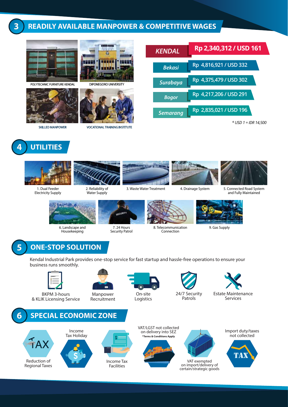### **3 READILY AVAILABLE MANPOWER & COMPETITIVE WAGES**



POLYTECHNIC FURNITURE KENDAL DIPONEGORO UNIVERSITY



mm -111111 minus **PS533 HELL** ਜਾ



SKILLED MANPOWER VOCATIONAL TRAINING INSTITUTE





Electricity Supply



2. Reliability of Water Supply



### 1. Dual Feeder 2. Reliability of 3. Waste Water Treatment 4. Drainage System



*Bekasi* **Rp 4,816,921 / USD 332**

*KENDAL* **Rp 2,340,312 / USD 161**

*Surabaya* **Rp 4,375,479 / USD 302**

*Bogor* **Rp 4,217,206 / USD 291**

*Semarang* **Rp 2,835,021 / USD 196**



*\* USD 1 = IDR 14,500*

5. Connected Road System and Fully Maintained



6. Landscape and Housekeeping



7. 24 Hours Security Patrol



8. Telecommunication Connection



9. Gas Supply

## **5 ONE-STOP SOLUTION**

Kendal Industrial Park provides one-stop service for fast startup and hassle-free operations to ensure your business runs smoothly.



BKPM 3-hours & KLIK Licensing Service



Recruitment



On-site Logistics



Patrols

Estate Maintenance Services



Import duty/taxes not collected

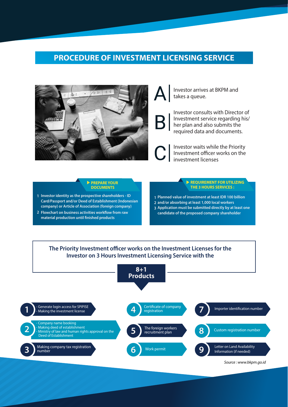### **PROCEDURE OF INVESTMENT LICENSING SERVICE**





Investor consults with Director of Investment service regarding his/ her plan and also submits the required data and documents.

Investor waits while the Priority Investment officer works on the investment licenses

#### **PREPARE YOUR DOCUMENTS**

- **1 Investor identity as the prospective shareholders ID Card/Passport and/or Deed of Establishment (Indonesian company) or Article of Association (foreign company)**
- 2 Flowchart on business activities workflow from raw **material production until finished products**

#### **REQUIREMENT FOR UTILIZING THE 3 HOURS SERVICES :**

- **1 Planned value of investment at least IDR 100 billion**
- **2 and/or absorbing at least 1,000 local workers**
- **3 Application must be submitted directly by at least one candidate of the proposed company shareholder**